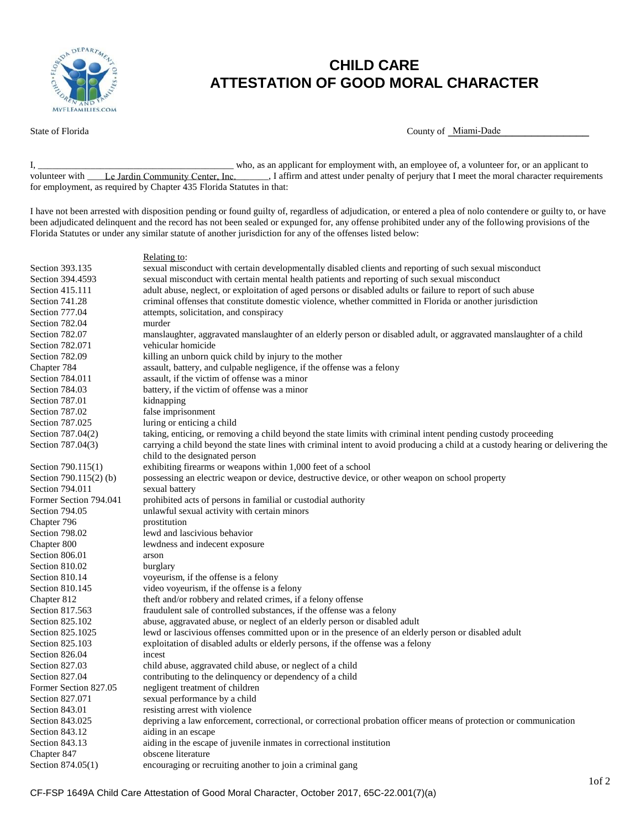

## **CHILD CARE ATTESTATION OF GOOD MORAL CHARACTER**

State of Florida **County of Luis County of Luis County of Luis County of Luis County of Luis County of Luis County of Luis County of Luis County of Luis County of Luis County of Luis County of Luis County of Luis County of** 

I, \_\_\_\_\_\_\_\_\_\_\_\_\_\_\_\_\_\_\_\_\_\_\_\_\_\_\_\_\_\_\_\_\_\_\_\_\_\_\_\_\_ who, as an applicant for employment with, an employee of, a volunteer for, or an applicant to volunteer with Le Jardin Community Center, Inc. [16] I affirm and attest under penalty of perjury that I meet the moral character requirements for employment, as required by Chapter 435 Florida Statutes in that:

I have not been arrested with disposition pending or found guilty of, regardless of adjudication, or entered a plea of nolo contendere or guilty to, or have been adjudicated delinquent and the record has not been sealed or expunged for, any offense prohibited under any of the following provisions of the Florida Statutes or under any similar statute of another jurisdiction for any of the offenses listed below:

## Relating to:

| Section 393.135        | sexual misconduct with certain developmentally disabled clients and reporting of such sexual misconduct                        |  |
|------------------------|--------------------------------------------------------------------------------------------------------------------------------|--|
| Section 394.4593       | sexual misconduct with certain mental health patients and reporting of such sexual misconduct                                  |  |
| Section 415.111        | adult abuse, neglect, or exploitation of aged persons or disabled adults or failure to report of such abuse                    |  |
| Section 741.28         | criminal offenses that constitute domestic violence, whether committed in Florida or another jurisdiction                      |  |
| Section 777.04         | attempts, solicitation, and conspiracy                                                                                         |  |
| Section 782.04         | murder                                                                                                                         |  |
| Section 782.07         | manslaughter, aggravated manslaughter of an elderly person or disabled adult, or aggravated manslaughter of a child            |  |
| Section 782.071        | vehicular homicide                                                                                                             |  |
| Section 782.09         | killing an unborn quick child by injury to the mother                                                                          |  |
| Chapter 784            | assault, battery, and culpable negligence, if the offense was a felony                                                         |  |
| Section 784.011        | assault, if the victim of offense was a minor                                                                                  |  |
| Section 784.03         | battery, if the victim of offense was a minor                                                                                  |  |
| Section 787.01         | kidnapping                                                                                                                     |  |
| Section 787.02         | false imprisonment                                                                                                             |  |
| Section 787.025        | luring or enticing a child                                                                                                     |  |
| Section 787.04(2)      | taking, enticing, or removing a child beyond the state limits with criminal intent pending custody proceeding                  |  |
| Section 787.04(3)      | carrying a child beyond the state lines with criminal intent to avoid producing a child at a custody hearing or delivering the |  |
|                        | child to the designated person                                                                                                 |  |
| Section 790.115(1)     | exhibiting firearms or weapons within 1,000 feet of a school                                                                   |  |
| Section 790.115(2) (b) | possessing an electric weapon or device, destructive device, or other weapon on school property                                |  |
| Section 794.011        | sexual battery                                                                                                                 |  |
| Former Section 794.041 | prohibited acts of persons in familial or custodial authority                                                                  |  |
| Section 794.05         | unlawful sexual activity with certain minors                                                                                   |  |
| Chapter 796            | prostitution                                                                                                                   |  |
| Section 798.02         | lewd and lascivious behavior                                                                                                   |  |
| Chapter 800            | lewdness and indecent exposure                                                                                                 |  |
| Section 806.01         | arson                                                                                                                          |  |
| Section 810.02         | burglary                                                                                                                       |  |
| Section 810.14         | voyeurism, if the offense is a felony                                                                                          |  |
| Section 810.145        | video voyeurism, if the offense is a felony                                                                                    |  |
| Chapter 812            | theft and/or robbery and related crimes, if a felony offense                                                                   |  |
| Section 817.563        | fraudulent sale of controlled substances, if the offense was a felony                                                          |  |
| Section 825.102        | abuse, aggravated abuse, or neglect of an elderly person or disabled adult                                                     |  |
| Section 825.1025       | lewd or lascivious offenses committed upon or in the presence of an elderly person or disabled adult                           |  |
| Section 825.103        | exploitation of disabled adults or elderly persons, if the offense was a felony                                                |  |
| Section 826.04         | incest                                                                                                                         |  |
| Section 827.03         | child abuse, aggravated child abuse, or neglect of a child                                                                     |  |
| Section 827.04         | contributing to the delinquency or dependency of a child                                                                       |  |
| Former Section 827.05  | negligent treatment of children                                                                                                |  |
| Section 827.071        | sexual performance by a child                                                                                                  |  |
| Section 843.01         | resisting arrest with violence                                                                                                 |  |
| Section 843.025        | depriving a law enforcement, correctional, or correctional probation officer means of protection or communication              |  |
| Section 843.12         | aiding in an escape                                                                                                            |  |
| Section 843.13         | aiding in the escape of juvenile inmates in correctional institution                                                           |  |
| Chapter 847            | obscene literature                                                                                                             |  |
| Section 874.05(1)      | encouraging or recruiting another to join a criminal gang                                                                      |  |
|                        |                                                                                                                                |  |